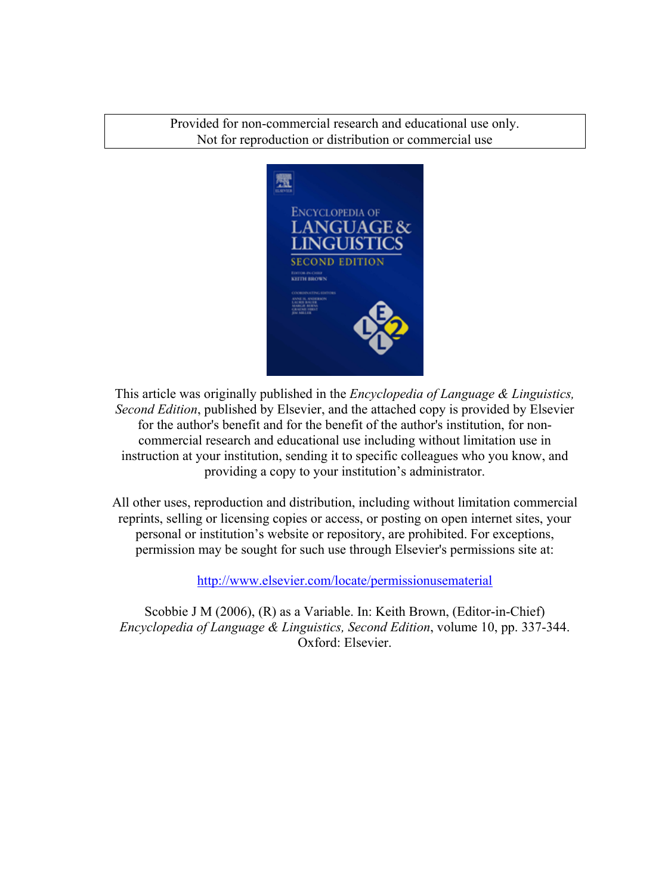Provided for non-commercial research and educational use only. Not for reproduction or distribution or commercial use



This article was originally published in the *Encyclopedia of Language & Linguistics, Second Edition*, published by Elsevier, and the attached copy is provided by Elsevier for the author's benefit and for the benefit of the author's institution, for noncommercial research and educational use including without limitation use in instruction at your institution, sending it to specific colleagues who you know, and providing a copy to your institution's administrator.

All other uses, reproduction and distribution, including without limitation commercial reprints, selling or licensing copies or access, or posting on open internet sites, your personal or institution's website or repository, are prohibited. For exceptions, permission may be sought for such use through Elsevier's permissions site at:

http://www.elsevier.com/locate/permissionusematerial

Scobbie J M (2006), (R) as a Variable. In: Keith Brown, (Editor-in-Chief) *Encyclopedia of Language & Linguistics, Second Edition*, volume 10, pp. 337-344. Oxford: Elsevier.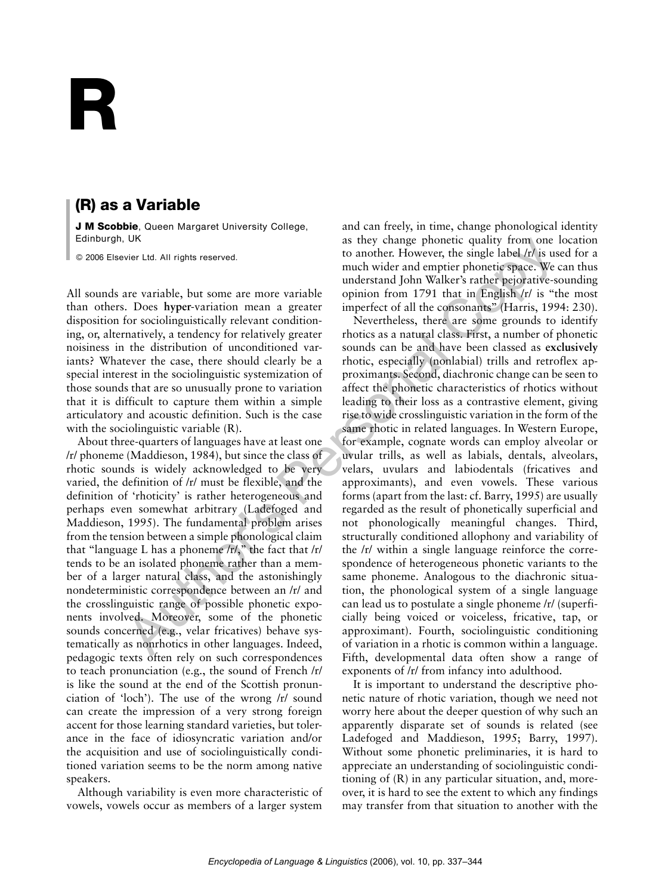# R

## (R) as a Variable

**J M Scobbie**, Queen Margaret University College, Edinburgh, UK

2006 Elsevier Ltd. All rights reserved.

All sounds are variable, but some are more variable than others. Does hyper-variation mean a greater disposition for sociolinguistically relevant conditioning, or, alternatively, a tendency for relatively greater noisiness in the distribution of unconditioned variants? Whatever the case, there should clearly be a special interest in the sociolinguistic systemization of those sounds that are so unusually prone to variation that it is difficult to capture them within a simple articulatory and acoustic definition. Such is the case with the sociolinguistic variable  $(R)$ .

About three-quarters of languages have at least one /r/ phoneme (Maddieson, 1984), but since the class of rhotic sounds is widely acknowledged to be very varied, the definition of /r/ must be flexible, and the definition of 'rhoticity' is rather heterogeneous and perhaps even somewhat arbitrary (Ladefoged and Maddieson, 1995). The fundamental problem arises from the tension between a simple phonological claim that "language L has a phoneme  $\ell r$ ," the fact that  $\ell r$ / tends to be an isolated phoneme rather than a member of a larger natural class, and the astonishingly nondeterministic correspondence between an /r/ and the crosslinguistic range of possible phonetic exponents involved. Moreover, some of the phonetic sounds concerned (e.g., velar fricatives) behave systematically as nonrhotics in other languages. Indeed, pedagogic texts often rely on such correspondences to teach pronunciation (e.g., the sound of French /r/ is like the sound at the end of the Scottish pronunciation of 'loch'). The use of the wrong /r/ sound can create the impression of a very strong foreign accent for those learning standard varieties, but tolerance in the face of idiosyncratic variation and/or the acquisition and use of sociolinguistically conditioned variation seems to be the norm among native speakers.

Although variability is even more characteristic of vowels, vowels occur as members of a larger system and can freely, in time, change phonological identity as they change phonetic quality from one location to another. However, the single label /r/ is used for a much wider and emptier phonetic space. We can thus understand John Walker's rather pejorative-sounding opinion from 1791 that in English /r/ is ''the most imperfect of all the consonants" (Harris, 1994: 230).

Us<br>
where that in this is they change phonotic quality from one<br>
to another. However, the single label  $dp$  is used<br>
much wider and emptier phonotic space. We<br>
are variable, but some are more variable opinion from 1791 tha Nevertheless, there are some grounds to identify rhotics as a natural class. First, a number of phonetic sounds can be and have been classed as exclusively rhotic, especially (nonlabial) trills and retroflex approximants. Second, diachronic change can be seen to affect the phonetic characteristics of rhotics without leading to their loss as a contrastive element, giving rise to wide crosslinguistic variation in the form of the same rhotic in related languages. In Western Europe, for example, cognate words can employ alveolar or uvular trills, as well as labials, dentals, alveolars, velars, uvulars and labiodentals (fricatives and approximants), and even vowels. These various forms (apart from the last: cf. Barry, 1995) are usually regarded as the result of phonetically superficial and not phonologically meaningful changes. Third, structurally conditioned allophony and variability of the /r/ within a single language reinforce the correspondence of heterogeneous phonetic variants to the same phoneme. Analogous to the diachronic situation, the phonological system of a single language can lead us to postulate a single phoneme /r/ (superficially being voiced or voiceless, fricative, tap, or approximant). Fourth, sociolinguistic conditioning of variation in a rhotic is common within a language. Fifth, developmental data often show a range of exponents of /r/ from infancy into adulthood.

> It is important to understand the descriptive phonetic nature of rhotic variation, though we need not worry here about the deeper question of why such an apparently disparate set of sounds is related (see Ladefoged and Maddieson, 1995; Barry, 1997). Without some phonetic preliminaries, it is hard to appreciate an understanding of sociolinguistic conditioning of (R) in any particular situation, and, moreover, it is hard to see the extent to which any findings may transfer from that situation to another with the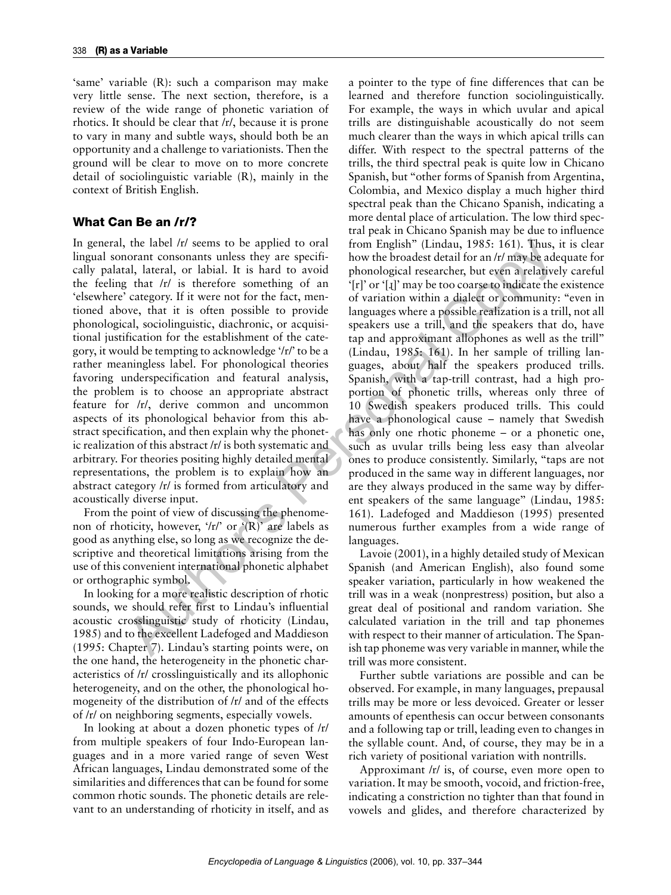'same' variable (R): such a comparison may make very little sense. The next section, therefore, is a review of the wide range of phonetic variation of rhotics. It should be clear that /r/, because it is prone to vary in many and subtle ways, should both be an opportunity and a challenge to variationists. Then the ground will be clear to move on to more concrete detail of sociolinguistic variable (R), mainly in the context of British English.

#### What Can Be an /r/?

In general, the label /r/ seems to be applied to oral lingual sonorant consonants unless they are specifically palatal, lateral, or labial. It is hard to avoid the feeling that /r/ is therefore something of an 'elsewhere' category. If it were not for the fact, mentioned above, that it is often possible to provide phonological, sociolinguistic, diachronic, or acquisitional justification for the establishment of the category, it would be tempting to acknowledge '/r/' to be a rather meaningless label. For phonological theories favoring underspecification and featural analysis, the problem is to choose an appropriate abstract feature for /r/, derive common and uncommon aspects of its phonological behavior from this abstract specification, and then explain why the phonetic realization of this abstract /r/ is both systematic and arbitrary. For theories positing highly detailed mental representations, the problem is to explain how an abstract category /r/ is formed from articulatory and acoustically diverse input.

From the point of view of discussing the phenomenon of rhoticity, however, '/r/' or '(R)' are labels as good as anything else, so long as we recognize the descriptive and theoretical limitations arising from the use of this convenient international phonetic alphabet or orthographic symbol.

In looking for a more realistic description of rhotic sounds, we should refer first to Lindau's influential acoustic crosslinguistic study of rhoticity (Lindau, 1985) and to the excellent Ladefoged and Maddieson (1995: Chapter 7). Lindau's starting points were, on the one hand, the heterogeneity in the phonetic characteristics of /r/ crosslinguistically and its allophonic heterogeneity, and on the other, the phonological homogeneity of the distribution of /r/ and of the effects of /r/ on neighboring segments, especially vowels.

In looking at about a dozen phonetic types of /r/ from multiple speakers of four Indo-European languages and in a more varied range of seven West African languages, Lindau demonstrated some of the similarities and differences that can be found for some common rhotic sounds. The phonetic details are relevant to an understanding of rhoticity in itself, and as

the label  $H$  seems to be applied to oral from English" (Lindau, 1985: 161). Thus, the label prior and the resonant constant unisable prior in the shade, all a lateral, or labial. It is hard to avoid phonological research a pointer to the type of fine differences that can be learned and therefore function sociolinguistically. For example, the ways in which uvular and apical trills are distinguishable acoustically do not seem much clearer than the ways in which apical trills can differ. With respect to the spectral patterns of the trills, the third spectral peak is quite low in Chicano Spanish, but ''other forms of Spanish from Argentina, Colombia, and Mexico display a much higher third spectral peak than the Chicano Spanish, indicating a more dental place of articulation. The low third spectral peak in Chicano Spanish may be due to influence from English'' (Lindau, 1985: 161). Thus, it is clear how the broadest detail for an /r/ may be adequate for phonological researcher, but even a relatively careful '[r]' or '[I]' may be too coarse to indicate the existence of variation within a dialect or community: ''even in languages where a possible realization is a trill, not all speakers use a trill, and the speakers that do, have tap and approximant allophones as well as the trill'' (Lindau, 1985: 161). In her sample of trilling languages, about half the speakers produced trills. Spanish, with a tap-trill contrast, had a high proportion of phonetic trills, whereas only three of 10 Swedish speakers produced trills. This could have a phonological cause – namely that Swedish has only one rhotic phoneme – or a phonetic one, such as uvular trills being less easy than alveolar ones to produce consistently. Similarly, ''taps are not produced in the same way in different languages, nor are they always produced in the same way by different speakers of the same language'' (Lindau, 1985: 161). Ladefoged and Maddieson (1995) presented numerous further examples from a wide range of languages.

Lavoie (2001), in a highly detailed study of Mexican Spanish (and American English), also found some speaker variation, particularly in how weakened the trill was in a weak (nonprestress) position, but also a great deal of positional and random variation. She calculated variation in the trill and tap phonemes with respect to their manner of articulation. The Spanish tap phoneme was very variable in manner, while the trill was more consistent.

Further subtle variations are possible and can be observed. For example, in many languages, prepausal trills may be more or less devoiced. Greater or lesser amounts of epenthesis can occur between consonants and a following tap or trill, leading even to changes in the syllable count. And, of course, they may be in a rich variety of positional variation with nontrills.

Approximant /r/ is, of course, even more open to variation. It may be smooth, vocoid, and friction-free, indicating a constriction no tighter than that found in vowels and glides, and therefore characterized by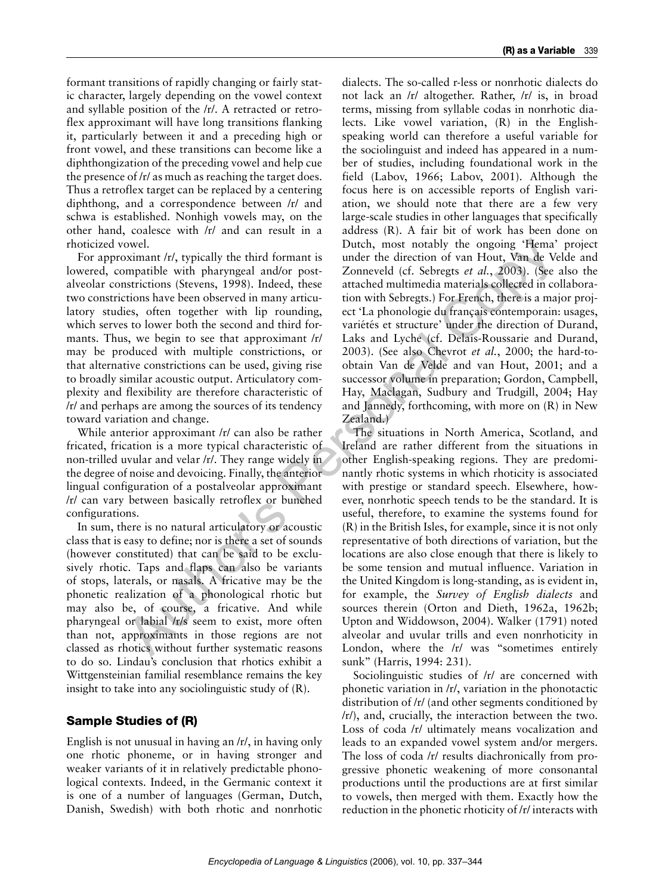formant transitions of rapidly changing or fairly static character, largely depending on the vowel context and syllable position of the /r/. A retracted or retroflex approximant will have long transitions flanking it, particularly between it and a preceding high or front vowel, and these transitions can become like a diphthongization of the preceding vowel and help cue the presence of /r/ as much as reaching the target does. Thus a retroflex target can be replaced by a centering diphthong, and a correspondence between /r/ and schwa is established. Nonhigh vowels may, on the other hand, coalesce with /r/ and can result in a rhoticized vowel.

For approximant /r/, typically the third formant is lowered, compatible with pharyngeal and/or postalveolar constrictions (Stevens, 1998). Indeed, these two constrictions have been observed in many articulatory studies, often together with lip rounding, which serves to lower both the second and third formants. Thus, we begin to see that approximant /r/ may be produced with multiple constrictions, or that alternative constrictions can be used, giving rise to broadly similar acoustic output. Articulatory complexity and flexibility are therefore characteristic of /r/ and perhaps are among the sources of its tendency toward variation and change.

While anterior approximant /r/ can also be rather fricated, frication is a more typical characteristic of non-trilled uvular and velar /r/. They range widely in the degree of noise and devoicing. Finally, the anterior lingual configuration of a postalveolar approximant /r/ can vary between basically retroflex or bunched configurations.

In sum, there is no natural articulatory or acoustic class that is easy to define; nor is there a set of sounds (however constituted) that can be said to be exclusively rhotic. Taps and flaps can also be variants of stops, laterals, or nasals. A fricative may be the phonetic realization of a phonological rhotic but may also be, of course, a fricative. And while pharyngeal or labial /r/s seem to exist, more often than not, approximants in those regions are not classed as rhotics without further systematic reasons to do so. Lindau's conclusion that rhotics exhibit a Wittgensteinian familial resemblance remains the key insight to take into any sociolinguistic study of (R).

#### Sample Studies of (R)

English is not unusual in having an /r/, in having only one rhotic phoneme, or in having stronger and weaker variants of it in relatively predictable phonological contexts. Indeed, in the Germanic context it is one of a number of languages (German, Dutch, Danish, Swedish) with both rhotic and nonrhotic dialects. The so-called r-less or nonrhotic dialects do not lack an /r/ altogether. Rather, /r/ is, in broad terms, missing from syllable codas in nonrhotic dialects. Like vowel variation, (R) in the Englishspeaking world can therefore a useful variable for the sociolinguist and indeed has appeared in a number of studies, including foundational work in the field (Labov, 1966; Labov, 2001). Although the focus here is on accessible reports of English variation, we should note that there are a few very large-scale studies in other languages that specifically address (R). A fair bit of work has been done on Dutch, most notably the ongoing 'Hema' project under the direction of van Hout, Van de Velde and Zonneveld (cf. Sebregts *et al.*, 2003). (See also the attached multimedia materials collected in collaboration with Sebregts.) For French, there is a major project 'La phonologie du français contemporain: usages, variétés et structure' under the direction of Durand, Laks and Lyche (cf. Delais-Roussarie and Durand, 2003). (See also Chevrot et al., 2000; the hard-toobtain Van de Velde and van Hout, 2001; and a successor volume in preparation; Gordon, Campbell, Hay, Maclagan, Sudbury and Trudgill, 2004; Hay and Jannedy, forthcoming, with more on (R) in New Zealand.)

ovel.<br>
wimant  $\mathcal{H}_t$ , typically the third formant is<br>
under, most notably the ongoing "Herma"<br>
under the direction of van Hout, Van de Vermatible with pharyngeal and/or post<br>
xmatriclic (cf. Sebregts *et al.*, 2003). ( The situations in North America, Scotland, and Ireland are rather different from the situations in other English-speaking regions. They are predominantly rhotic systems in which rhoticity is associated with prestige or standard speech. Elsewhere, however, nonrhotic speech tends to be the standard. It is useful, therefore, to examine the systems found for (R) in the British Isles, for example, since it is not only representative of both directions of variation, but the locations are also close enough that there is likely to be some tension and mutual influence. Variation in the United Kingdom is long-standing, as is evident in, for example, the Survey of English dialects and sources therein (Orton and Dieth, 1962a, 1962b; Upton and Widdowson, 2004). Walker (1791) noted alveolar and uvular trills and even nonrhoticity in London, where the /r/ was ''sometimes entirely sunk'' (Harris, 1994: 231).

> Sociolinguistic studies of /r/ are concerned with phonetic variation in /r/, variation in the phonotactic distribution of /r/ (and other segments conditioned by /r/), and, crucially, the interaction between the two. Loss of coda /r/ ultimately means vocalization and leads to an expanded vowel system and/or mergers. The loss of coda /r/ results diachronically from progressive phonetic weakening of more consonantal productions until the productions are at first similar to vowels, then merged with them. Exactly how the reduction in the phonetic rhoticity of /r/ interacts with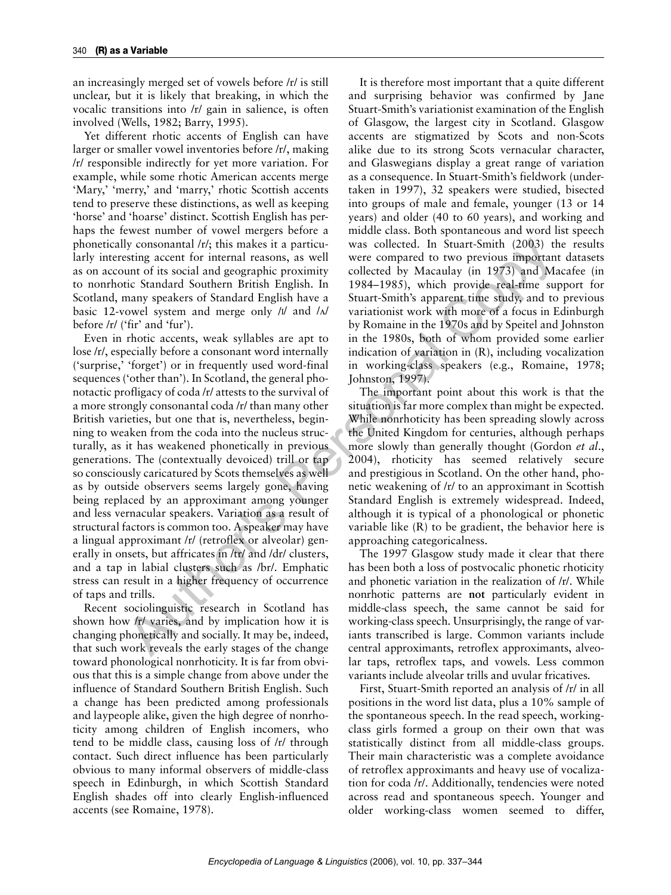an increasingly merged set of vowels before /r/ is still unclear, but it is likely that breaking, in which the vocalic transitions into /r/ gain in salience, is often involved (Wells, 1982; Barry, 1995).

Yet different rhotic accents of English can have larger or smaller vowel inventories before /r/, making /r/ responsible indirectly for yet more variation. For example, while some rhotic American accents merge 'Mary,' 'merry,' and 'marry,' rhotic Scottish accents tend to preserve these distinctions, as well as keeping 'horse' and 'hoarse' distinct. Scottish English has perhaps the fewest number of vowel mergers before a phonetically consonantal /r/; this makes it a particularly interesting accent for internal reasons, as well as on account of its social and geographic proximity to nonrhotic Standard Southern British English. In Scotland, many speakers of Standard English have a basic 12-vowel system and merge only  $/I$  and  $I$ before /r/ ('fir' and 'fur').

y consonant  $\ell r/\gamma$ , this makes it is particu-<br>was colleted. In Stuart-Smith (2003) the system accent for internal reasons, as well<br>unro its social and geographic proximity collected by Macaulay (in 1973) and Ma<br>city stra Even in rhotic accents, weak syllables are apt to lose /r/, especially before a consonant word internally ('surprise,' 'forget') or in frequently used word-final sequences ('other than'). In Scotland, the general phonotactic profligacy of coda /r/ attests to the survival of a more strongly consonantal coda /r/ than many other British varieties, but one that is, nevertheless, beginning to weaken from the coda into the nucleus structurally, as it has weakened phonetically in previous generations. The (contextually devoiced) trill or tap so consciously caricatured by Scots themselves as well as by outside observers seems largely gone, having being replaced by an approximant among younger and less vernacular speakers. Variation as a result of structural factors is common too. A speaker may have a lingual approximant /r/ (retroflex or alveolar) generally in onsets, but affricates in /tr/ and /dr/ clusters, and a tap in labial clusters such as /br/. Emphatic stress can result in a higher frequency of occurrence of taps and trills.

Recent sociolinguistic research in Scotland has shown how /r/ varies, and by implication how it is changing phonetically and socially. It may be, indeed, that such work reveals the early stages of the change toward phonological nonrhoticity. It is far from obvious that this is a simple change from above under the influence of Standard Southern British English. Such a change has been predicted among professionals and laypeople alike, given the high degree of nonrhoticity among children of English incomers, who tend to be middle class, causing loss of /r/ through contact. Such direct influence has been particularly obvious to many informal observers of middle-class speech in Edinburgh, in which Scottish Standard English shades off into clearly English-influenced accents (see Romaine, 1978).

It is therefore most important that a quite different and surprising behavior was confirmed by Jane Stuart-Smith's variationist examination of the English of Glasgow, the largest city in Scotland. Glasgow accents are stigmatized by Scots and non-Scots alike due to its strong Scots vernacular character, and Glaswegians display a great range of variation as a consequence. In Stuart-Smith's fieldwork (undertaken in 1997), 32 speakers were studied, bisected into groups of male and female, younger (13 or 14 years) and older (40 to 60 years), and working and middle class. Both spontaneous and word list speech was collected. In Stuart-Smith (2003) the results were compared to two previous important datasets collected by Macaulay (in 1973) and Macafee (in 1984–1985), which provide real-time support for Stuart-Smith's apparent time study, and to previous variationist work with more of a focus in Edinburgh by Romaine in the 1970s and by Speitel and Johnston in the 1980s, both of whom provided some earlier indication of variation in (R), including vocalization in working-class speakers (e.g., Romaine, 1978; Johnston, 1997).

The important point about this work is that the situation is far more complex than might be expected. While nonrhoticity has been spreading slowly across the United Kingdom for centuries, although perhaps more slowly than generally thought (Gordon *et al.*, 2004), rhoticity has seemed relatively secure and prestigious in Scotland. On the other hand, phonetic weakening of /r/ to an approximant in Scottish Standard English is extremely widespread. Indeed, although it is typical of a phonological or phonetic variable like (R) to be gradient, the behavior here is approaching categoricalness.

The 1997 Glasgow study made it clear that there has been both a loss of postvocalic phonetic rhoticity and phonetic variation in the realization of /r/. While nonrhotic patterns are not particularly evident in middle-class speech, the same cannot be said for working-class speech. Unsurprisingly, the range of variants transcribed is large. Common variants include central approximants, retroflex approximants, alveolar taps, retroflex taps, and vowels. Less common variants include alveolar trills and uvular fricatives.

First, Stuart-Smith reported an analysis of /r/ in all positions in the word list data, plus a 10% sample of the spontaneous speech. In the read speech, workingclass girls formed a group on their own that was statistically distinct from all middle-class groups. Their main characteristic was a complete avoidance of retroflex approximants and heavy use of vocalization for coda /r/. Additionally, tendencies were noted across read and spontaneous speech. Younger and older working-class women seemed to differ,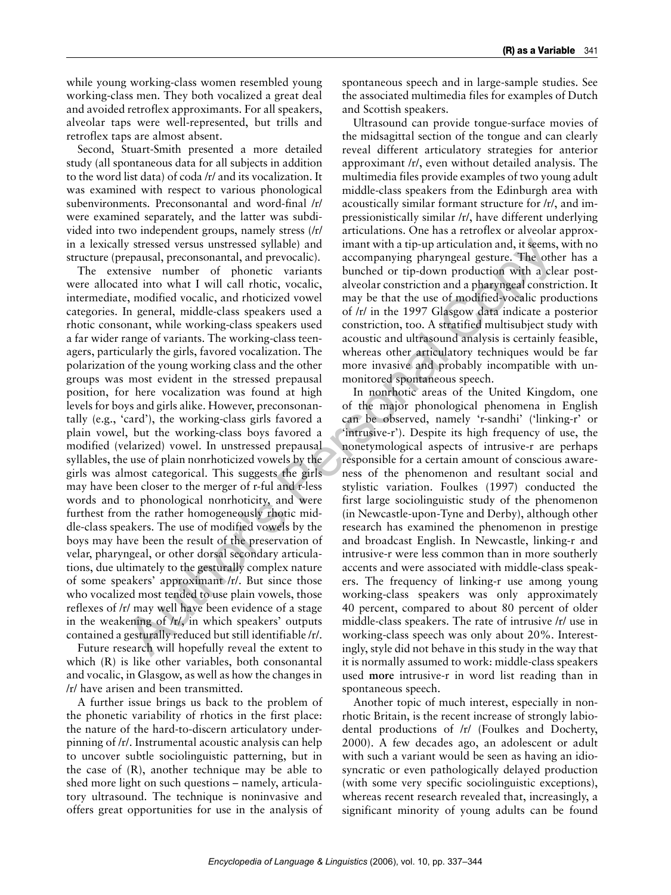while young working-class women resembled young working-class men. They both vocalized a great deal and avoided retroflex approximants. For all speakers, alveolar taps were well-represented, but trills and retroflex taps are almost absent.

Second, Stuart-Smith presented a more detailed study (all spontaneous data for all subjects in addition to the word list data) of coda /r/ and its vocalization. It was examined with respect to various phonological subenvironments. Preconsonantal and word-final /r/ were examined separately, and the latter was subdivided into two independent groups, namely stress (/r/ in a lexically stressed versus unstressed syllable) and structure (prepausal, preconsonantal, and prevocalic).

y stressed or<br>statistics and reconsiones and providible) and iman with a rip-up arrival<br>alian procession, and increase of all and providing a more in the companying phary<br>agaed gesture. The otherwise number of phonetic va The extensive number of phonetic variants were allocated into what I will call rhotic, vocalic, intermediate, modified vocalic, and rhoticized vowel categories. In general, middle-class speakers used a rhotic consonant, while working-class speakers used a far wider range of variants. The working-class teenagers, particularly the girls, favored vocalization. The polarization of the young working class and the other groups was most evident in the stressed prepausal position, for here vocalization was found at high levels for boys and girls alike. However, preconsonantally (e.g., 'card'), the working-class girls favored a plain vowel, but the working-class boys favored a modified (velarized) vowel. In unstressed prepausal syllables, the use of plain nonrhoticized vowels by the girls was almost categorical. This suggests the girls may have been closer to the merger of r-ful and r-less words and to phonological nonrhoticity, and were furthest from the rather homogeneously rhotic middle-class speakers. The use of modified vowels by the boys may have been the result of the preservation of velar, pharyngeal, or other dorsal secondary articulations, due ultimately to the gesturally complex nature of some speakers' approximant /r/. But since those who vocalized most tended to use plain vowels, those reflexes of /r/ may well have been evidence of a stage in the weakening of /r/, in which speakers' outputs contained a gesturally reduced but still identifiable /r/.

Future research will hopefully reveal the extent to which (R) is like other variables, both consonantal and vocalic, in Glasgow, as well as how the changes in /r/ have arisen and been transmitted.

A further issue brings us back to the problem of the phonetic variability of rhotics in the first place: the nature of the hard-to-discern articulatory underpinning of /r/. Instrumental acoustic analysis can help to uncover subtle sociolinguistic patterning, but in the case of (R), another technique may be able to shed more light on such questions – namely, articulatory ultrasound. The technique is noninvasive and offers great opportunities for use in the analysis of spontaneous speech and in large-sample studies. See the associated multimedia files for examples of Dutch and Scottish speakers.

Ultrasound can provide tongue-surface movies of the midsagittal section of the tongue and can clearly reveal different articulatory strategies for anterior approximant /r/, even without detailed analysis. The multimedia files provide examples of two young adult middle-class speakers from the Edinburgh area with acoustically similar formant structure for /r/, and impressionistically similar /r/, have different underlying articulations. One has a retroflex or alveolar approximant with a tip-up articulation and, it seems, with no accompanying pharyngeal gesture. The other has a bunched or tip-down production with a clear postalveolar constriction and a pharyngeal constriction. It may be that the use of modified-vocalic productions of /r/ in the 1997 Glasgow data indicate a posterior constriction, too. A stratified multisubject study with acoustic and ultrasound analysis is certainly feasible, whereas other articulatory techniques would be far more invasive and probably incompatible with unmonitored spontaneous speech.

In nonrhotic areas of the United Kingdom, one of the major phonological phenomena in English can be observed, namely 'r-sandhi' ('linking-r' or 'intrusive-r'). Despite its high frequency of use, the nonetymological aspects of intrusive-r are perhaps responsible for a certain amount of conscious awareness of the phenomenon and resultant social and stylistic variation. Foulkes (1997) conducted the first large sociolinguistic study of the phenomenon (in Newcastle-upon-Tyne and Derby), although other research has examined the phenomenon in prestige and broadcast English. In Newcastle, linking-r and intrusive-r were less common than in more southerly accents and were associated with middle-class speakers. The frequency of linking-r use among young working-class speakers was only approximately 40 percent, compared to about 80 percent of older middle-class speakers. The rate of intrusive /r/ use in working-class speech was only about 20%. Interestingly, style did not behave in this study in the way that it is normally assumed to work: middle-class speakers used more intrusive-r in word list reading than in spontaneous speech.

Another topic of much interest, especially in nonrhotic Britain, is the recent increase of strongly labiodental productions of /r/ (Foulkes and Docherty, 2000). A few decades ago, an adolescent or adult with such a variant would be seen as having an idiosyncratic or even pathologically delayed production (with some very specific sociolinguistic exceptions), whereas recent research revealed that, increasingly, a significant minority of young adults can be found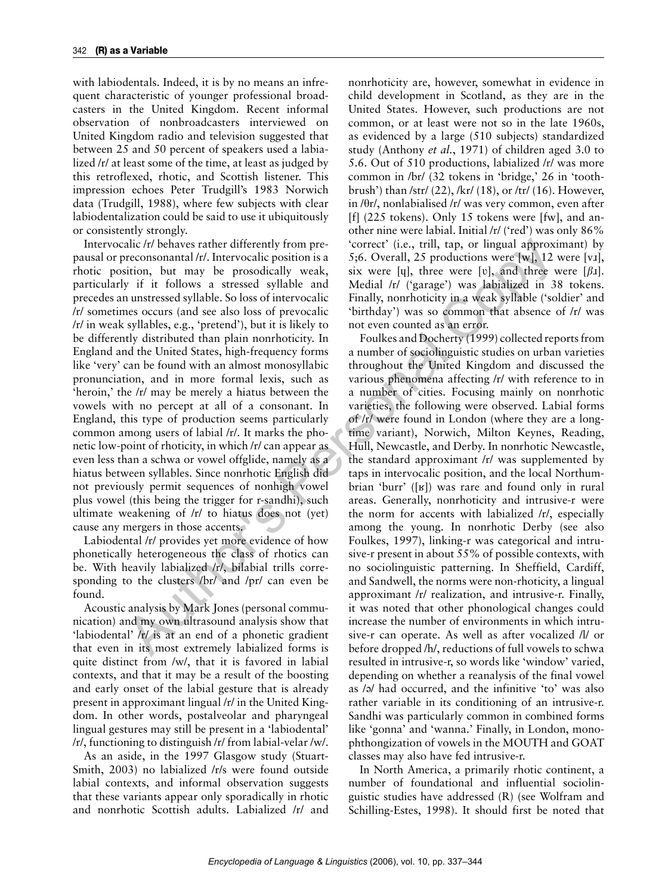with labiodentals. Indeed, it is by no means an infrequent characteristic of younger professional broadcasters in the United Kingdom. Recent informal observation of nonbroadcasters interviewed on United Kingdom radio and television suggested that between 25 and 50 percent of speakers used a labialized /r/ at least some of the time, at least as judged by this retroflexed, rhotic, and Scottish listener. This impression echoes Peter Trudgill's 1983 Norwich data (Trudgill, 1988), where few subjects with clear labiodentalization could be said to use it ubiquitously or consistently strongly.

Intervocalic /r/ behaves rather differently from prepausal or preconsonantal /r/. Intervocalic position is a rhotic position, but may be prosodically weak, particularly if it follows a stressed syllable and precedes an unstressed syllable. So loss of intervocalic /r/ sometimes occurs (and see also loss of prevocalic /r/ in weak syllables, e.g., 'pretend'), but it is likely to be differently distributed than plain nonrhoticity. In England and the United States, high-frequency forms like 'very' can be found with an almost monosyllabic pronunciation, and in more formal lexis, such as 'heroin,' the /r/ may be merely a hiatus between the vowels with no percept at all of a consonant. In England, this type of production seems particularly common among users of labial /r/. It marks the phonetic low-point of rhoticity, in which /r/ can appear as even less than a schwa or vowel offglide, namely as a hiatus between syllables. Since nonrhotic English did not previously permit sequences of nonhigh vowel plus vowel (this being the trigger for r-sandhi), such ultimate weakening of /r/ to hiatus does not (yet) cause any mergers in those accents.

Labiodental /r/ provides yet more evidence of how phonetically heterogeneous the class of rhotics can be. With heavily labialized /r/, bilabial trills corresponding to the clusters /br/ and /pr/ can even be found.

Acoustic analysis by Mark Jones (personal communication) and my own ultrasound analysis show that 'labiodental' /r/ is at an end of a phonetic gradient that even in its most extremely labialized forms is quite distinct from /w/, that it is favored in labial contexts, and that it may be a result of the boosting and early onset of the labial gesture that is already present in approximant lingual /r/ in the United Kingdom. In other words, postalveolar and pharyngeal lingual gestures may still be present in a 'labiodental' /r/, functioning to distinguish /r/ from labial-velar /w/.

As an aside, in the 1997 Glasgow study (Stuart-Smith, 2003) no labialized /r/s were found outside labial contexts, and informal observation suggests that these variants appear only sporadically in rhotic and nonrhotic Scottish adults. Labialized /r/ and

nonrhoticity are, however, somewhat in evidence in child development in Scotland, as they are in the United States. However, such productions are not common, or at least were not so in the late 1960s, as evidenced by a large (510 subjects) standardized study (Anthony et al., 1971) of children aged 3.0 to 5.6. Out of 510 productions, labialized /r/ was more common in /br/ (32 tokens in 'bridge,' 26 in 'toothbrush') than /str/ (22), /kr/ (18), or /tr/ (16). However, in / $\theta$ r/, nonlabialised /r/ was very common, even after [f] (225 tokens). Only 15 tokens were [fw], and another nine were labial. Initial /r/ ('red') was only 86% 'correct' (i.e., trill, tap, or lingual approximant) by 5;6. Overall, 25 productions were [w], 12 were [vɪ], six were [q], three were [v], and three were  $[\beta_1]$ . Medial /r/ ('garage') was labialized in 38 tokens. Finally, nonrhoticity in a weak syllable ('soldier' and 'birthday') was so common that absence of /r/ was not even counted as an error.

alic  $Ht$  behaves rather differently from pre-<br>
"conect" (i.e., trill, trap, or lingual approximation, but may be prosocited<br>ly osition is a 5:66. Overall, 25 productions were [w], fl2 itsolution, but may be prosociteally Foulkes and Docherty (1999) collected reports from a number of sociolinguistic studies on urban varieties throughout the United Kingdom and discussed the various phenomena affecting /r/ with reference to in a number of cities. Focusing mainly on nonrhotic varieties, the following were observed. Labial forms of /r/ were found in London (where they are a longtime variant), Norwich, Milton Keynes, Reading, Hull, Newcastle, and Derby. In nonrhotic Newcastle, the standard approximant /r/ was supplemented by taps in intervocalic position, and the local Northumbrian 'burr'  $([k])$  was rare and found only in rural areas. Generally, nonrhoticity and intrusive-r were the norm for accents with labialized /r/, especially among the young. In nonrhotic Derby (see also Foulkes, 1997), linking-r was categorical and intrusive-r present in about 55% of possible contexts, with no sociolinguistic patterning. In Sheffield, Cardiff, and Sandwell, the norms were non-rhoticity, a lingual approximant /r/ realization, and intrusive-r. Finally, it was noted that other phonological changes could increase the number of environments in which intrusive-r can operate. As well as after vocalized /l/ or before dropped /h/, reductions of full vowels to schwa resulted in intrusive-r, so words like 'window' varied, depending on whether a reanalysis of the final vowel as /e/ had occurred, and the infinitive 'to' was also rather variable in its conditioning of an intrusive-r. Sandhi was particularly common in combined forms like 'gonna' and 'wanna.' Finally, in London, monophthongization of vowels in the MOUTH and GOAT classes may also have fed intrusive-r.

> In North America, a primarily rhotic continent, a number of foundational and influential sociolinguistic studies have addressed (R) (see Wolfram and Schilling-Estes, 1998). It should first be noted that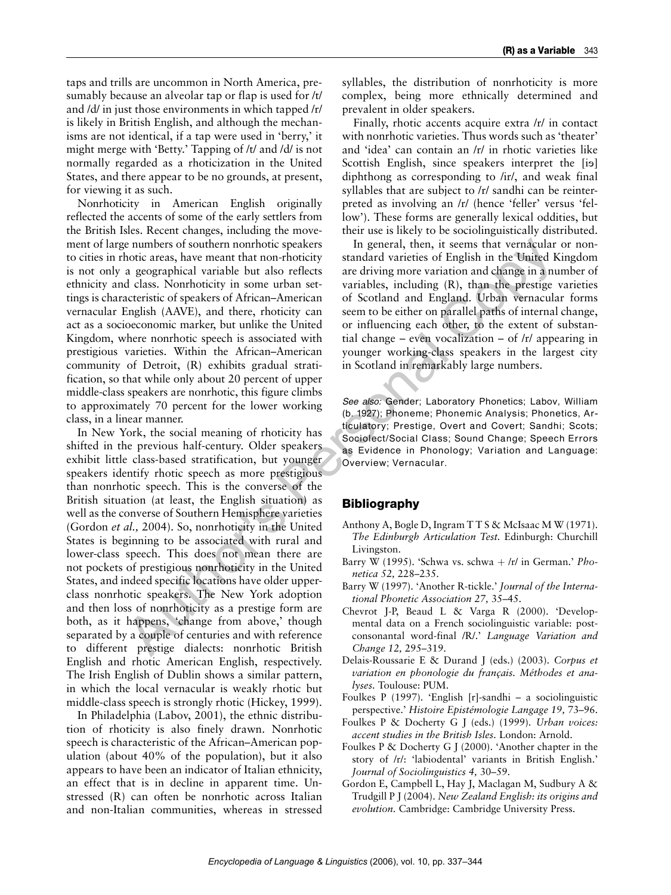taps and trills are uncommon in North America, presumably because an alveolar tap or flap is used for /t/ and /d/ in just those environments in which tapped /r/ is likely in British English, and although the mechanisms are not identical, if a tap were used in 'berry,' it might merge with 'Betty.' Tapping of /t/ and /d/ is not normally regarded as a rhoticization in the United States, and there appear to be no grounds, at present, for viewing it as such.

Nonrhoticity in American English originally reflected the accents of some of the early settlers from the British Isles. Recent changes, including the movement of large numbers of southern nonrhotic speakers to cities in rhotic areas, have meant that non-rhoticity is not only a geographical variable but also reflects ethnicity and class. Nonrhoticity in some urban settings is characteristic of speakers of African–American vernacular English (AAVE), and there, rhoticity can act as a socioeconomic marker, but unlike the United Kingdom, where nonrhotic speech is associated with prestigious varieties. Within the African–American community of Detroit, (R) exhibits gradual stratification, so that while only about 20 percent of upper middle-class speakers are nonrhotic, this figure climbs to approximately 70 percent for the lower working class, in a linear manner.

numbers of southern nonrhotic speakes<br>
not momento is an agent, then, it seems that versiagular and exactly<br>
noticity standard varieties of English in the Unued R a geographical variable but also reflects are driving more In New York, the social meaning of rhoticity has shifted in the previous half-century. Older speakers exhibit little class-based stratification, but younger speakers identify rhotic speech as more prestigious than nonrhotic speech. This is the converse of the British situation (at least, the English situation) as well as the converse of Southern Hemisphere varieties (Gordon et al., 2004). So, nonrhoticity in the United States is beginning to be associated with rural and lower-class speech. This does not mean there are not pockets of prestigious nonrhoticity in the United States, and indeed specific locations have older upperclass nonrhotic speakers. The New York adoption and then loss of nonrhoticity as a prestige form are both, as it happens, 'change from above,' though separated by a couple of centuries and with reference to different prestige dialects: nonrhotic British English and rhotic American English, respectively. The Irish English of Dublin shows a similar pattern, in which the local vernacular is weakly rhotic but middle-class speech is strongly rhotic (Hickey, 1999).

In Philadelphia (Labov, 2001), the ethnic distribution of rhoticity is also finely drawn. Nonrhotic speech is characteristic of the African–American population (about 40% of the population), but it also appears to have been an indicator of Italian ethnicity, an effect that is in decline in apparent time. Unstressed (R) can often be nonrhotic across Italian and non-Italian communities, whereas in stressed

syllables, the distribution of nonrhoticity is more complex, being more ethnically determined and prevalent in older speakers.

Finally, rhotic accents acquire extra /r/ in contact with nonrhotic varieties. Thus words such as 'theater' and 'idea' can contain an /r/ in rhotic varieties like Scottish English, since speakers interpret the [ia] diphthong as corresponding to /ir/, and weak final syllables that are subject to /r/ sandhi can be reinterpreted as involving an /r/ (hence 'feller' versus 'fellow'). These forms are generally lexical oddities, but their use is likely to be sociolinguistically distributed.

In general, then, it seems that vernacular or nonstandard varieties of English in the United Kingdom are driving more variation and change in a number of variables, including (R), than the prestige varieties of Scotland and England. Urban vernacular forms seem to be either on parallel paths of internal change, or influencing each other, to the extent of substantial change – even vocalization – of /r/ appearing in younger working-class speakers in the largest city in Scotland in remarkably large numbers.

See also: Gender; Laboratory Phonetics; Labov, William (b. 1927); Phoneme; Phonemic Analysis; Phonetics, Articulatory; Prestige, Overt and Covert; Sandhi; Scots; Sociolect/Social Class; Sound Change; Speech Errors as Evidence in Phonology; Variation and Language: Overview; Vernacular.

#### **Bibliography**

- Anthony A, Bogle D, Ingram T T S & McIsaac M W (1971). The Edinburgh Articulation Test. Edinburgh: Churchill Livingston.
- Barry W (1995). 'Schwa vs. schwa + /r/ in German.' Phonetica 52, 228–235.
- Barry W (1997). 'Another R-tickle.' Journal of the International Phonetic Association 27, 35–45.
- Chevrot J-P, Beaud L & Varga R (2000). 'Developmental data on a French sociolinguistic variable: postconsonantal word-final /R/.' Language Variation and Change 12, 295–319.
- Delais-Roussarie E & Durand J (eds.) (2003). Corpus et variation en phonologie du français. Méthodes et analyses. Toulouse: PUM.
- Foulkes P (1997). 'English [r]-sandhi a sociolinguistic perspective.' Histoire Epistémologie Langage 19, 73–96.
- Foulkes P & Docherty G J (eds.) (1999). Urban voices: accent studies in the British Isles. London: Arnold.
- Foulkes P & Docherty G J (2000). 'Another chapter in the story of /r/: 'labiodental' variants in British English.' Journal of Sociolinguistics 4, 30–59.
- Gordon E, Campbell L, Hay J, Maclagan M, Sudbury A & Trudgill P J (2004). New Zealand English: its origins and evolution. Cambridge: Cambridge University Press.